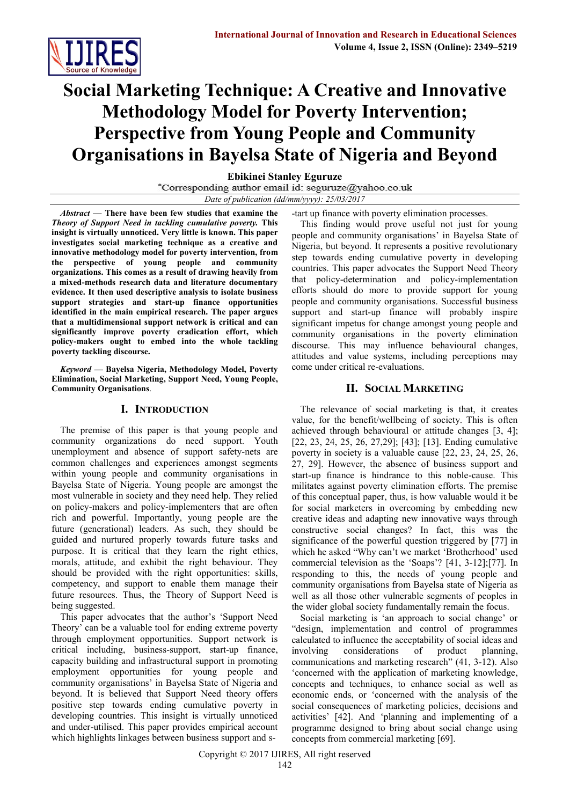

# **Social Marketing Technique: A Creative and Innovative Methodology Model for Poverty Intervention; Perspective from Young People and Community Organisations in Bayelsa State of Nigeria and Beyond**

**Ebikinei Stanley Eguruze**

\*Corresponding author email id: seguruze@yahoo.co.uk

*Date of publication (dd/mm/yyyy): 25/03/2017*

*Abstract* **— There have been few studies that examine the**  *Theory of Support Need in tackling cumulative poverty.* **This insight is virtually unnoticed. Very little is known. This paper investigates social marketing technique as a creative and innovative methodology model for poverty intervention, from the perspective of young people and community organizations. This comes as a result of drawing heavily from a mixed-methods research data and literature documentary evidence. It then used descriptive analysis to isolate business support strategies and start-up finance opportunities identified in the main empirical research. The paper argues that a multidimensional support network is critical and can significantly improve poverty eradication effort, which policy-makers ought to embed into the whole tackling poverty tackling discourse.** 

*Keyword* **— Bayelsa Nigeria, Methodology Model, Poverty Elimination, Social Marketing, Support Need, Young People, Community Organisations**.

## **I. INTRODUCTION**

The premise of this paper is that young people and community organizations do need support. Youth unemployment and absence of support safety-nets are common challenges and experiences amongst segments within young people and community organisations in Bayelsa State of Nigeria. Young people are amongst the most vulnerable in society and they need help. They relied on policy-makers and policy-implementers that are often rich and powerful. Importantly, young people are the future (generational) leaders. As such, they should be guided and nurtured properly towards future tasks and purpose. It is critical that they learn the right ethics, morals, attitude, and exhibit the right behaviour. They should be provided with the right opportunities: skills, competency, and support to enable them manage their future resources. Thus, the Theory of Support Need is being suggested.

This paper advocates that the author's 'Support Need Theory' can be a valuable tool for ending extreme poverty through employment opportunities. Support network is critical including, business-support, start-up finance, capacity building and infrastructural support in promoting employment opportunities for young people and community organisations' in Bayelsa State of Nigeria and beyond. It is believed that Support Need theory offers positive step towards ending cumulative poverty in developing countries. This insight is virtually unnoticed and under-utilised. This paper provides empirical account which highlights linkages between business support and s-tart up finance with poverty elimination processes.

This finding would prove useful not just for young people and community organisations' in Bayelsa State of Nigeria, but beyond. It represents a positive revolutionary step towards ending cumulative poverty in developing countries. This paper advocates the Support Need Theory that policy-determination and policy-implementation efforts should do more to provide support for young people and community organisations. Successful business support and start-up finance will probably inspire significant impetus for change amongst young people and community organisations in the poverty elimination discourse. This may influence behavioural changes, attitudes and value systems, including perceptions may come under critical re-evaluations.

## **II. SOCIAL MARKETING**

The relevance of social marketing is that, it creates value, for the benefit/wellbeing of society. This is often achieved through behavioural or attitude changes [3, 4]; [22, 23, 24, 25, 26, 27,29]; [43]; [13]. Ending cumulative poverty in society is a valuable cause [22, 23, 24, 25, 26, 27, 29]. However, the absence of business support and start-up finance is hindrance to this noble-cause. This militates against poverty elimination efforts. The premise of this conceptual paper, thus, is how valuable would it be for social marketers in overcoming by embedding new creative ideas and adapting new innovative ways through constructive social changes? In fact, this was the significance of the powerful question triggered by [77] in which he asked "Why can't we market 'Brotherhood' used commercial television as the 'Soaps'? [41, 3-12];[77]. In responding to this, the needs of young people and community organisations from Bayelsa state of Nigeria as well as all those other vulnerable segments of peoples in the wider global society fundamentally remain the focus.

Social marketing is 'an approach to social change' or "design, implementation and control of programmes calculated to influence the acceptability of social ideas and involving considerations of product planning, communications and marketing research" (41, 3-12). Also 'concerned with the application of marketing knowledge, concepts and techniques, to enhance social as well as economic ends, or 'concerned with the analysis of the social consequences of marketing policies, decisions and activities' [42]. And 'planning and implementing of a programme designed to bring about social change using concepts from commercial marketing [69].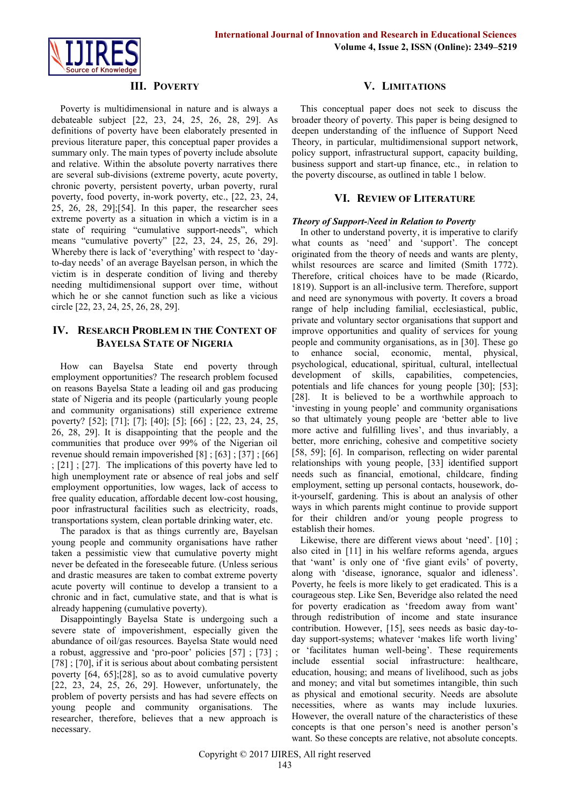

## **III. POVERTY**

Poverty is multidimensional in nature and is always a debateable subject [22, 23, 24, 25, 26, 28, 29]. As definitions of poverty have been elaborately presented in previous literature paper, this conceptual paper provides a summary only. The main types of poverty include absolute and relative. Within the absolute poverty narratives there are several sub-divisions (extreme poverty, acute poverty, chronic poverty, persistent poverty, urban poverty, rural poverty, food poverty, in-work poverty, etc., [22, 23, 24, 25, 26, 28, 29];[54]. In this paper, the researcher sees extreme poverty as a situation in which a victim is in a state of requiring "cumulative support-needs", which means "cumulative poverty" [22, 23, 24, 25, 26, 29]. Whereby there is lack of 'everything' with respect to 'dayto-day needs' of an average Bayelsan person, in which the victim is in desperate condition of living and thereby needing multidimensional support over time, without which he or she cannot function such as like a vicious circle [22, 23, 24, 25, 26, 28, 29].

## **IV. RESEARCH PROBLEM IN THE CONTEXT OF BAYELSA STATE OF NIGERIA**

How can Bayelsa State end poverty through employment opportunities? The research problem focused on reasons Bayelsa State a leading oil and gas producing state of Nigeria and its people (particularly young people and community organisations) still experience extreme poverty? [52]; [71]; [7]; [40]; [5]; [66] ; [22, 23, 24, 25, 26, 28, 29]. It is disappointing that the people and the communities that produce over 99% of the Nigerian oil revenue should remain impoverished [8] ; [63] ; [37] ; [66] ; [21] ; [27]. The implications of this poverty have led to high unemployment rate or absence of real jobs and self employment opportunities, low wages, lack of access to free quality education, affordable decent low-cost housing, poor infrastructural facilities such as electricity, roads, transportations system, clean portable drinking water, etc.

The paradox is that as things currently are, Bayelsan young people and community organisations have rather taken a pessimistic view that cumulative poverty might never be defeated in the foreseeable future. (Unless serious and drastic measures are taken to combat extreme poverty acute poverty will continue to develop a transient to a chronic and in fact, cumulative state, and that is what is already happening (cumulative poverty).

Disappointingly Bayelsa State is undergoing such a severe state of impoverishment, especially given the abundance of oil/gas resources. Bayelsa State would need a robust, aggressive and 'pro-poor' policies [57] ; [73] ; [78] ; [70], if it is serious about about combating persistent poverty [64, 65];[28], so as to avoid cumulative poverty [22, 23, 24, 25, 26, 29]. However, unfortunately, the problem of poverty persists and has had severe effects on young people and community organisations. The researcher, therefore, believes that a new approach is necessary.

### **V. LIMITATIONS**

This conceptual paper does not seek to discuss the broader theory of poverty. This paper is being designed to deepen understanding of the influence of Support Need Theory, in particular, multidimensional support network, policy support, infrastructural support, capacity building, business support and start-up finance, etc., in relation to the poverty discourse, as outlined in table 1 below.

#### **VI. REVIEW OF LITERATURE**

#### *Theory of Support-Need in Relation to Poverty*

In other to understand poverty, it is imperative to clarify what counts as 'need' and 'support'. The concept originated from the theory of needs and wants are plenty, whilst resources are scarce and limited (Smith 1772). Therefore, critical choices have to be made (Ricardo, 1819). Support is an all-inclusive term. Therefore, support and need are synonymous with poverty. It covers a broad range of help including familial, ecclesiastical, public, private and voluntary sector organisations that support and improve opportunities and quality of services for young people and community organisations, as in [30]. These go to enhance social, economic, mental, physical, psychological, educational, spiritual, cultural, intellectual development of skills, capabilities, competencies, potentials and life chances for young people [30]; [53]; [28]. It is believed to be a worthwhile approach to 'investing in young people' and community organisations so that ultimately young people are 'better able to live more active and fulfilling lives', and thus invariably, a better, more enriching, cohesive and competitive society [58, 59]; [6]. In comparison, reflecting on wider parental relationships with young people, [33] identified support needs such as financial, emotional, childcare, finding employment, setting up personal contacts, housework, doit-yourself, gardening. This is about an analysis of other ways in which parents might continue to provide support for their children and/or young people progress to establish their homes.

Likewise, there are different views about 'need'. [10] ; also cited in [11] in his welfare reforms agenda, argues that 'want' is only one of 'five giant evils' of poverty, along with 'disease, ignorance, squalor and idleness'. Poverty, he feels is more likely to get eradicated. This is a courageous step. Like Sen, Beveridge also related the need for poverty eradication as 'freedom away from want' through redistribution of income and state insurance contribution. However, [15], sees needs as basic day-today support-systems; whatever 'makes life worth living' or 'facilitates human well-being'. These requirements include essential social infrastructure: healthcare, education, housing; and means of livelihood, such as jobs and money; and vital but sometimes intangible, thin such as physical and emotional security. Needs are absolute necessities, where as wants may include luxuries. However, the overall nature of the characteristics of these concepts is that one person's need is another person's want. So these concepts are relative, not absolute concepts.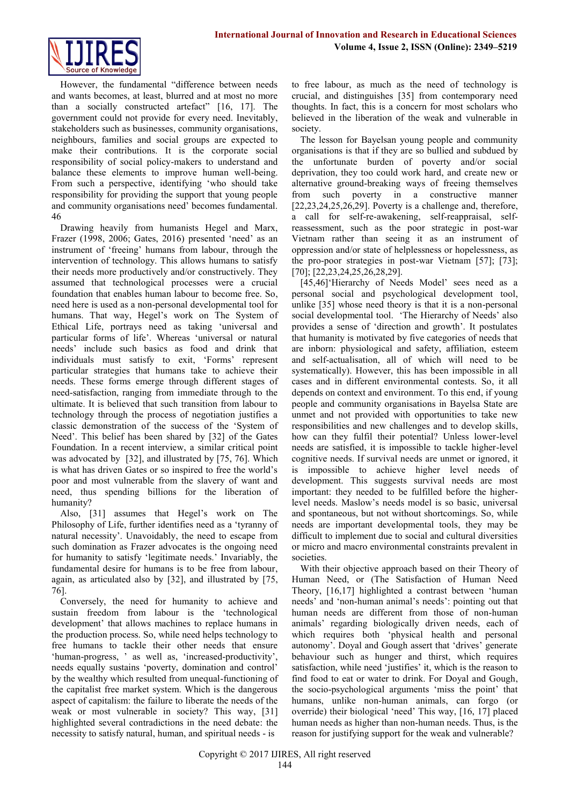

However, the fundamental "difference between needs and wants becomes, at least, blurred and at most no more than a socially constructed artefact" [16, 17]. The government could not provide for every need. Inevitably, stakeholders such as businesses, community organisations, neighbours, families and social groups are expected to make their contributions. It is the corporate social responsibility of social policy-makers to understand and balance these elements to improve human well-being. From such a perspective, identifying 'who should take responsibility for providing the support that young people and community organisations need' becomes fundamental. 46

Drawing heavily from humanists Hegel and Marx, Frazer (1998, 2006; Gates, 2016) presented 'need' as an instrument of 'freeing' humans from labour, through the intervention of technology. This allows humans to satisfy their needs more productively and/or constructively. They assumed that technological processes were a crucial foundation that enables human labour to become free. So, need here is used as a non-personal developmental tool for humans. That way, Hegel's work on The System of Ethical Life, portrays need as taking 'universal and particular forms of life'. Whereas 'universal or natural needs' include such basics as food and drink that individuals must satisfy to exit, 'Forms' represent particular strategies that humans take to achieve their needs. These forms emerge through different stages of need-satisfaction, ranging from immediate through to the ultimate. It is believed that such transition from labour to technology through the process of negotiation justifies a classic demonstration of the success of the 'System of Need'. This belief has been shared by [32] of the Gates Foundation. In a recent interview, a similar critical point was advocated by [32], and illustrated by [75, 76]. Which is what has driven Gates or so inspired to free the world's poor and most vulnerable from the slavery of want and need, thus spending billions for the liberation of humanity?

Also, [31] assumes that Hegel's work on The Philosophy of Life, further identifies need as a 'tyranny of natural necessity'. Unavoidably, the need to escape from such domination as Frazer advocates is the ongoing need for humanity to satisfy 'legitimate needs.' Invariably, the fundamental desire for humans is to be free from labour, again, as articulated also by [32], and illustrated by [75, 76].

Conversely, the need for humanity to achieve and sustain freedom from labour is the 'technological development' that allows machines to replace humans in the production process. So, while need helps technology to free humans to tackle their other needs that ensure 'human-progress, ' as well as, 'increased-productivity', needs equally sustains 'poverty, domination and control' by the wealthy which resulted from unequal-functioning of the capitalist free market system. Which is the dangerous aspect of capitalism: the failure to liberate the needs of the weak or most vulnerable in society? This way, [31] highlighted several contradictions in the need debate: the necessity to satisfy natural, human, and spiritual needs - is

to free labour, as much as the need of technology is crucial, and distinguishes [35] from contemporary need thoughts. In fact, this is a concern for most scholars who believed in the liberation of the weak and vulnerable in society.

The lesson for Bayelsan young people and community organisations is that if they are so bullied and subdued by the unfortunate burden of poverty and/or social deprivation, they too could work hard, and create new or alternative ground-breaking ways of freeing themselves from such poverty in a constructive manner [22,23,24,25,26,29]. Poverty is a challenge and, therefore, a call for self-re-awakening, self-reappraisal, selfreassessment, such as the poor strategic in post-war Vietnam rather than seeing it as an instrument of oppression and/or state of helplessness or hopelessness, as the pro-poor strategies in post-war Vietnam [57]; [73]; [70]; [22,23,24,25,26,28,29].

[45,46]'Hierarchy of Needs Model' sees need as a personal social and psychological development tool, unlike [35] whose need theory is that it is a non-personal social developmental tool. 'The Hierarchy of Needs' also provides a sense of 'direction and growth'. It postulates that humanity is motivated by five categories of needs that are inborn: physiological and safety, affiliation, esteem and self-actualisation, all of which will need to be systematically). However, this has been impossible in all cases and in different environmental contests. So, it all depends on context and environment. To this end, if young people and community organisations in Bayelsa State are unmet and not provided with opportunities to take new responsibilities and new challenges and to develop skills, how can they fulfil their potential? Unless lower-level needs are satisfied, it is impossible to tackle higher-level cognitive needs. If survival needs are unmet or ignored, it is impossible to achieve higher level needs of development. This suggests survival needs are most important: they needed to be fulfilled before the higherlevel needs. Maslow's needs model is so basic, universal and spontaneous, but not without shortcomings. So, while needs are important developmental tools, they may be difficult to implement due to social and cultural diversities or micro and macro environmental constraints prevalent in societies.

With their objective approach based on their Theory of Human Need, or (The Satisfaction of Human Need Theory, [16,17] highlighted a contrast between 'human needs' and 'non-human animal's needs': pointing out that human needs are different from those of non-human animals' regarding biologically driven needs, each of which requires both 'physical health and personal autonomy'. Doyal and Gough assert that 'drives' generate behaviour such as hunger and thirst, which requires satisfaction, while need 'justifies' it, which is the reason to find food to eat or water to drink. For Doyal and Gough, the socio-psychological arguments 'miss the point' that humans, unlike non-human animals, can forgo (or override) their biological 'need' This way, [16, 17] placed human needs as higher than non-human needs. Thus, is the reason for justifying support for the weak and vulnerable?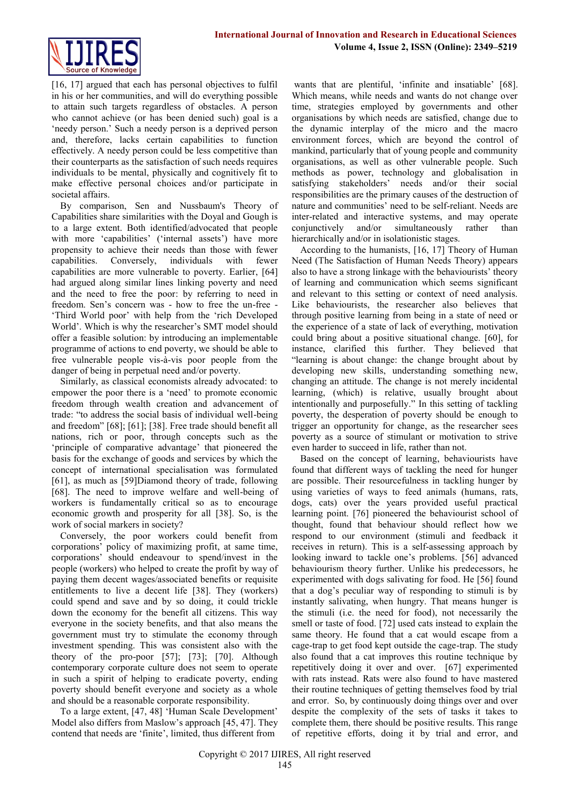

[16, 17] argued that each has personal objectives to fulfil in his or her communities, and will do everything possible to attain such targets regardless of obstacles. A person who cannot achieve (or has been denied such) goal is a 'needy person.' Such a needy person is a deprived person and, therefore, lacks certain capabilities to function effectively. A needy person could be less competitive than their counterparts as the satisfaction of such needs requires individuals to be mental, physically and cognitively fit to make effective personal choices and/or participate in societal affairs.

By comparison, Sen and Nussbaum's Theory of Capabilities share similarities with the Doyal and Gough is to a large extent. Both identified/advocated that people with more 'capabilities' ('internal assets') have more propensity to achieve their needs than those with fewer capabilities. Conversely, individuals with fewer capabilities are more vulnerable to poverty. Earlier, [64] had argued along similar lines linking poverty and need and the need to free the poor: by referring to need in freedom. Sen's concern was - how to free the un-free - 'Third World poor' with help from the 'rich Developed World'. Which is why the researcher's SMT model should offer a feasible solution: by introducing an implementable programme of actions to end poverty, we should be able to free vulnerable people vis-à-vis poor people from the danger of being in perpetual need and/or poverty.

Similarly, as classical economists already advocated: to empower the poor there is a 'need' to promote economic freedom through wealth creation and advancement of trade: "to address the social basis of individual well-being and freedom" [68]; [61]; [38]. Free trade should benefit all nations, rich or poor, through concepts such as the 'principle of comparative advantage' that pioneered the basis for the exchange of goods and services by which the concept of international specialisation was formulated [61], as much as [59]Diamond theory of trade, following [68]. The need to improve welfare and well-being of workers is fundamentally critical so as to encourage economic growth and prosperity for all [38]. So, is the work of social markers in society?

Conversely, the poor workers could benefit from corporations' policy of maximizing profit, at same time, corporations' should endeavour to spend/invest in the people (workers) who helped to create the profit by way of paying them decent wages/associated benefits or requisite entitlements to live a decent life [38]. They (workers) could spend and save and by so doing, it could trickle down the economy for the benefit all citizens. This way everyone in the society benefits, and that also means the government must try to stimulate the economy through investment spending. This was consistent also with the theory of the pro-poor [57]; [73]; [70]. Although contemporary corporate culture does not seem to operate in such a spirit of helping to eradicate poverty, ending poverty should benefit everyone and society as a whole and should be a reasonable corporate responsibility.

To a large extent, [47, 48] 'Human Scale Development' Model also differs from Maslow's approach [45, 47]. They contend that needs are 'finite', limited, thus different from

wants that are plentiful, 'infinite and insatiable' [68]. Which means, while needs and wants do not change over time, strategies employed by governments and other organisations by which needs are satisfied, change due to the dynamic interplay of the micro and the macro environment forces, which are beyond the control of mankind, particularly that of young people and community organisations, as well as other vulnerable people. Such methods as power, technology and globalisation in satisfying stakeholders' needs and/or their social responsibilities are the primary causes of the destruction of nature and communities' need to be self-reliant. Needs are inter-related and interactive systems, and may operate conjunctively and/or simultaneously rather than hierarchically and/or in isolationistic stages.

According to the humanists, [16, 17] Theory of Human Need (The Satisfaction of Human Needs Theory) appears also to have a strong linkage with the behaviourists' theory of learning and communication which seems significant and relevant to this setting or context of need analysis. Like behaviourists, the researcher also believes that through positive learning from being in a state of need or the experience of a state of lack of everything, motivation could bring about a positive situational change. [60], for instance, clarified this further. They believed that "learning is about change: the change brought about by developing new skills, understanding something new, changing an attitude. The change is not merely incidental learning, (which) is relative, usually brought about intentionally and purposefully." In this setting of tackling poverty, the desperation of poverty should be enough to trigger an opportunity for change, as the researcher sees poverty as a source of stimulant or motivation to strive even harder to succeed in life, rather than not.

Based on the concept of learning, behaviourists have found that different ways of tackling the need for hunger are possible. Their resourcefulness in tackling hunger by using varieties of ways to feed animals (humans, rats, dogs, cats) over the years provided useful practical learning point. [76] pioneered the behaviourist school of thought, found that behaviour should reflect how we respond to our environment (stimuli and feedback it receives in return). This is a self-assessing approach by looking inward to tackle one's problems. [56] advanced behaviourism theory further. Unlike his predecessors, he experimented with dogs salivating for food. He [56] found that a dog's peculiar way of responding to stimuli is by instantly salivating, when hungry. That means hunger is the stimuli (i.e. the need for food), not necessarily the smell or taste of food. [72] used cats instead to explain the same theory. He found that a cat would escape from a cage-trap to get food kept outside the cage-trap. The study also found that a cat improves this routine technique by repetitively doing it over and over. [67] experimented with rats instead. Rats were also found to have mastered their routine techniques of getting themselves food by trial and error. So, by continuously doing things over and over despite the complexity of the sets of tasks it takes to complete them, there should be positive results. This range of repetitive efforts, doing it by trial and error, and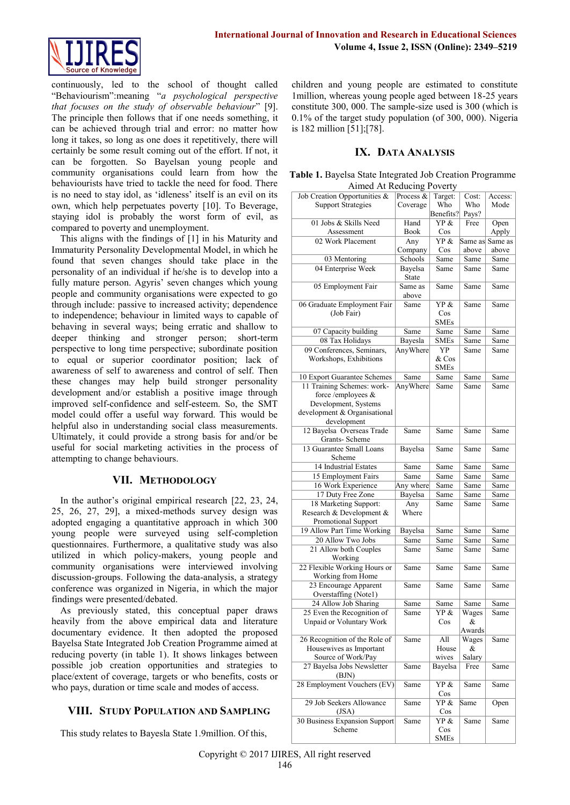

continuously, led to the school of thought called "Behaviourism":meaning "*a psychological perspective that focuses on the study of observable behaviour*" [9]. The principle then follows that if one needs something, it can be achieved through trial and error: no matter how long it takes, so long as one does it repetitively, there will certainly be some result coming out of the effort. If not, it can be forgotten. So Bayelsan young people and community organisations could learn from how the behaviourists have tried to tackle the need for food. There is no need to stay idol, as 'idleness' itself is an evil on its own, which help perpetuates poverty [10]. To Beverage, staying idol is probably the worst form of evil, as compared to poverty and unemployment.

This aligns with the findings of [1] in his Maturity and Immaturity Personality Developmental Model, in which he found that seven changes should take place in the personality of an individual if he/she is to develop into a fully mature person. Agyris' seven changes which young people and community organisations were expected to go through include: passive to increased activity; dependence to independence; behaviour in limited ways to capable of behaving in several ways; being erratic and shallow to deeper thinking and stronger person; short-term perspective to long time perspective; subordinate position to equal or superior coordinator position; lack of awareness of self to awareness and control of self. Then these changes may help build stronger personality development and/or establish a positive image through improved self-confidence and self-esteem. So, the SMT model could offer a useful way forward. This would be helpful also in understanding social class measurements. Ultimately, it could provide a strong basis for and/or be useful for social marketing activities in the process of attempting to change behaviours.

## **VII. METHODOLOGY**

In the author's original empirical research [22, 23, 24, 25, 26, 27, 29], a mixed-methods survey design was adopted engaging a quantitative approach in which 300 young people were surveyed using self-completion questionnaires. Furthermore, a qualitative study was also utilized in which policy-makers, young people and community organisations were interviewed involving discussion-groups. Following the data-analysis, a strategy conference was organized in Nigeria, in which the major findings were presented/debated.

As previously stated, this conceptual paper draws heavily from the above empirical data and literature documentary evidence. It then adopted the proposed Bayelsa State Integrated Job Creation Programme aimed at reducing poverty (in table 1). It shows linkages between possible job creation opportunities and strategies to place/extent of coverage, targets or who benefits, costs or who pays, duration or time scale and modes of access.

## **VIII. STUDY POPULATION AND SAMPLING**

This study relates to Bayesla State 1.9million. Of this,

children and young people are estimated to constitute 1million, whereas young people aged between 18-25 years constitute 300, 000. The sample-size used is 300 (which is 0.1% of the target study population (of 300, 000). Nigeria is 182 million [51];[78].

## **IX. DATA ANALYSIS**

| Table 1. Bayelsa State Integrated Job Creation Programme |
|----------------------------------------------------------|
| Aimed At Reducing Poverty                                |

| Almed At Reducing Poverty     |                          |                    |        |                  |
|-------------------------------|--------------------------|--------------------|--------|------------------|
| Job Creation Opportunities &  | Process $\&$             | Target:            | Cost:  | Access:          |
| <b>Support Strategies</b>     | Coverage                 | Who                | Who    | Mode             |
|                               |                          | Benefits?          | Pays?  |                  |
| 01 Jobs & Skills Need         | Hand                     | YP &               | Free   | Open             |
| Assessment                    | Book                     | Cos                |        | Apply            |
| 02 Work Placement             | Any                      | YP &               |        | Same as  Same as |
|                               | Company                  | Cos                | above  | above            |
| 03 Mentoring                  | Schools                  | Same               | Same   | Same             |
|                               |                          |                    |        |                  |
| 04 Enterprise Week            | Bayelsa<br>State         | Same               | Same   | Same             |
| 05 Employment Fair            | Same as                  | Same               | Same   | Same             |
|                               | above                    |                    |        |                  |
| 06 Graduate Employment Fair   | Same                     | YP &               | Same   | Same             |
| (Job Fair)                    |                          | Cos                |        |                  |
|                               |                          | <b>SMEs</b>        |        |                  |
|                               |                          |                    |        |                  |
| 07 Capacity building          | Same                     | Same               | Same   | Same             |
| 08 Tax Holidays               | Bayesla                  | <b>SMEs</b>        | Same   | Same             |
| 09 Conferences, Seminars,     | AnyWhere                 | YP                 | Same   | Same             |
| Workshops, Exhibitions        |                          | & Cos              |        |                  |
|                               |                          | <b>SMEs</b>        |        |                  |
| 10 Export Guarantee Schemes   | Same                     | Same               | Same   | Same             |
| 11 Training Schemes: work-    | AnyWhere                 | Same               | Same   | Same             |
| force/employees $\&$          |                          |                    |        |                  |
| Development, Systems          |                          |                    |        |                  |
| development & Organisational  |                          |                    |        |                  |
| development                   |                          |                    |        |                  |
| 12 Bayelsa Overseas Trade     | Same                     | Same               | Same   | Same             |
|                               |                          |                    |        |                  |
| Grants- Scheme                |                          |                    |        |                  |
| 13 Guarantee Small Loans      | Bayelsa                  | Same               | Same   | Same             |
| Scheme                        |                          |                    |        |                  |
| 14 Industrial Estates         | Same                     | Same               | Same   | Same             |
| 15 Employment Fairs           | Same                     | Same               | Same   | Same             |
| 16 Work Experience            | Any where                | Same               | Same   | Same             |
| 17 Duty Free Zone             | Bayelsa                  | Same               | Same   | Same             |
| 18 Marketing Support:         | Any                      | Same               | Same   | Same             |
| Research & Development &      | Where                    |                    |        |                  |
| <b>Promotional Support</b>    |                          |                    |        |                  |
| 19 Allow Part Time Working    | Bayelsa                  | Same               | Same   | Same             |
| 20 Allow Two Jobs             | Same                     | Same               | Same   | Same             |
| 21 Allow both Couples         | Same                     | Same               | Same   | Same             |
| Working                       |                          |                    |        |                  |
| 22 Flexible Working Hours or  | Same                     | Same               | Same   | Same             |
| Working from Home             |                          |                    |        |                  |
|                               |                          |                    |        |                  |
| 23 Encourage Apparent         | Same                     | Same               | Same   | Same             |
| Overstaffing (Notel)          |                          |                    |        |                  |
| 24 Allow Job Sharing          | $\overline{\text{Same}}$ | Same               | Same   | Same             |
| $25$ Even the Recognition of  | $\overline{\text{Same}}$ | YP &               | Wages  | Same             |
| Unpaid or Voluntary Work      |                          | Cos                | &      |                  |
|                               |                          |                    | Awards |                  |
| 26 Recognition of the Role of | Same                     | All                | Wages  | Same             |
| Housewives as Important       |                          | House              | &      |                  |
| Source of Work/Pay            |                          | wives              | Salary |                  |
| 27 Bayelsa Jobs Newsletter    | Same                     | Bayelsa            | Free   | Same             |
| (BJN)                         |                          |                    |        |                  |
|                               | Same                     | YP &               |        | Same             |
|                               |                          |                    | Same   |                  |
| 28 Employment Vouchers (EV)   |                          |                    |        |                  |
|                               |                          | $\cos$             |        |                  |
| 29 Job Seekers Allowance      | Same                     | YP &               | Same   | Open             |
| $($ JSA $)$                   |                          | Cos                |        |                  |
| 30 Business Expansion Support | Same                     | YP &               | Same   | Same             |
| Scheme                        |                          | Cos<br><b>SMEs</b> |        |                  |

Copyright © 2017 IJIRES, All right reserved 146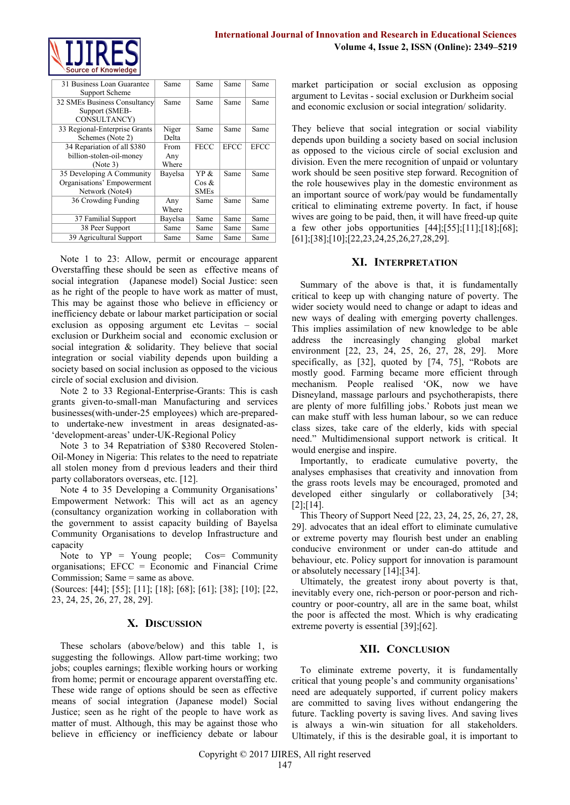

| 31 Business Loan Guarantee    | Same    | Same        | Same        | Same        |
|-------------------------------|---------|-------------|-------------|-------------|
| Support Scheme                |         |             |             |             |
| 32 SMEs Business Consultancy  | Same    | Same        | Same        | Same        |
| Support (SMEB-                |         |             |             |             |
| CONSULTANCY)                  |         |             |             |             |
| 33 Regional-Enterprise Grants | Niger   | Same        | Same        | Same        |
| Schemes (Note 2)              | Delta   |             |             |             |
| 34 Repariation of all \$380   | From    | <b>FECC</b> | <b>EFCC</b> | <b>EFCC</b> |
| billion-stolen-oil-money      | Any     |             |             |             |
| (Note 3)                      | Where   |             |             |             |
| 35 Developing A Community     | Bayelsa | YP &        | Same        | Same        |
| Organisations' Empowerment    |         | Cos &       |             |             |
| Network (Note4)               |         | <b>SMEs</b> |             |             |
| 36 Crowding Funding           | Any     | Same        | Same        | Same        |
|                               | Where   |             |             |             |
| 37 Familial Support           | Bayelsa | Same        | Same        | Same        |
| 38 Peer Support               | Same    | Same        | Same        | Same        |
| 39 Agricultural Support       | Same    | Same        | Same        | Same        |

Note 1 to 23: Allow, permit or encourage apparent Overstaffing these should be seen as effective means of social integration (Japanese model) Social Justice: seen as he right of the people to have work as matter of must, This may be against those who believe in efficiency or inefficiency debate or labour market participation or social exclusion as opposing argument etc Levitas – social exclusion or Durkheim social and economic exclusion or social integration & solidarity. They believe that social integration or social viability depends upon building a society based on social inclusion as opposed to the vicious circle of social exclusion and division.

Note 2 to 33 Regional-Enterprise-Grants: This is cash grants given-to-small-man Manufacturing and services businesses(with-under-25 employees) which are-preparedto undertake-new investment in areas designated-as- 'development-areas' under-UK-Regional Policy

Note 3 to 34 Repatriation of \$380 Recovered Stolen-Oil-Money in Nigeria: This relates to the need to repatriate all stolen money from d previous leaders and their third party collaborators overseas, etc. [12].

Note 4 to 35 Developing a Community Organisations' Empowerment Network: This will act as an agency (consultancy organization working in collaboration with the government to assist capacity building of Bayelsa Community Organisations to develop Infrastructure and capacity

Note to  $YP = Young$  people;  $Cos = Community$ organisations; EFCC = Economic and Financial Crime Commission; Same = same as above.

(Sources: [44]; [55]; [11]; [18]; [68]; [61]; [38]; [10]; [22, 23, 24, 25, 26, 27, 28, 29].

## **X. DISCUSSION**

These scholars (above/below) and this table 1, is suggesting the followings. Allow part-time working; two jobs; couples earnings; flexible working hours or working from home; permit or encourage apparent overstaffing etc. These wide range of options should be seen as effective means of social integration (Japanese model) Social Justice; seen as he right of the people to have work as matter of must. Although, this may be against those who believe in efficiency or inefficiency debate or labour

market participation or social exclusion as opposing argument to Levitas - social exclusion or Durkheim social and economic exclusion or social integration/ solidarity.

They believe that social integration or social viability depends upon building a society based on social inclusion as opposed to the vicious circle of social exclusion and division. Even the mere recognition of unpaid or voluntary work should be seen positive step forward. Recognition of the role housewives play in the domestic environment as an important source of work/pay would be fundamentally critical to eliminating extreme poverty. In fact, if house wives are going to be paid, then, it will have freed-up quite a few other jobs opportunities [44];[55];[11];[18];[68]; [61];[38];[10];[22,23,24,25,26,27,28,29].

### **XI. INTERPRETATION**

Summary of the above is that, it is fundamentally critical to keep up with changing nature of poverty. The wider society would need to change or adapt to ideas and new ways of dealing with emerging poverty challenges. This implies assimilation of new knowledge to be able address the increasingly changing global market environment [22, 23, 24, 25, 26, 27, 28, 29]. More specifically, as [32], quoted by [74, 75], "Robots are mostly good. Farming became more efficient through mechanism. People realised 'OK, now we have Disneyland, massage parlours and psychotherapists, there are plenty of more fulfilling jobs.' Robots just mean we can make stuff with less human labour, so we can reduce class sizes, take care of the elderly, kids with special need." Multidimensional support network is critical. It would energise and inspire.

Importantly, to eradicate cumulative poverty, the analyses emphasises that creativity and innovation from the grass roots levels may be encouraged, promoted and developed either singularly or collaboratively [34; [2];[14].

This Theory of Support Need [22, 23, 24, 25, 26, 27, 28, 29]. advocates that an ideal effort to eliminate cumulative or extreme poverty may flourish best under an enabling conducive environment or under can-do attitude and behaviour, etc. Policy support for innovation is paramount or absolutely necessary [14];[34].

Ultimately, the greatest irony about poverty is that, inevitably every one, rich-person or poor-person and richcountry or poor-country, all are in the same boat, whilst the poor is affected the most. Which is why eradicating extreme poverty is essential [39];[62].

#### **XII. CONCLUSION**

To eliminate extreme poverty, it is fundamentally critical that young people's and community organisations' need are adequately supported, if current policy makers are committed to saving lives without endangering the future. Tackling poverty is saving lives. And saving lives is always a win-win situation for all stakeholders. Ultimately, if this is the desirable goal, it is important to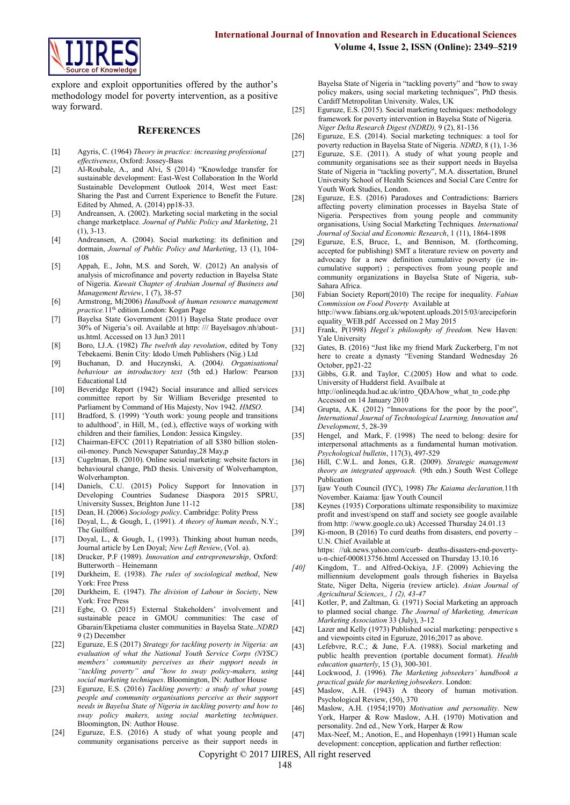

explore and exploit opportunities offered by the author's methodology model for poverty intervention, as a positive way forward.

#### **REFERENCES**

- [1] Agyris, C. (1964) *Theory in practice: increasing professional effectiveness*, Oxford: Jossey-Bass
- [2] Al-Roubale, A., and Alvi, S (2014) "Knowledge transfer for sustainable development: East-West Collaboration In the World Sustainable Development Outlook 2014, West meet East: Sharing the Past and Current Experience to Benefit the Future. Edited by Ahmed, A. (2014) pp18-33.
- [3] Andreansen, A. (2002). Marketing social marketing in the social change marketplace. *Journal of Public Policy and Marketing*, 21 (1), 3-13.
- [4] Andreansen, A. (2004). Social marketing: its definition and dormain, *Journal of Public Policy and Marketing*, 13 (1), 104- 108
- [5] Appah, E., John, M.S. and Soreh, W. (2012) An analysis of analysis of microfinance and poverty reduction in Bayelsa State of Nigeria. *Kuwait Chapter of Arabian Journal of Business and Management Review*, 1 (7), 38-57
- [6] Armstrong, M(2006) *Handbook of human resource management practice.*11th edition.London: Kogan Page
- [7] Bayelsa State Government (2011) Bayelsa State produce over 30% of Nigeria's oil. Available at http: /// Bayelsagov.nh/aboutus.html. Accessed on 13 Jun3 2011
- [8] Boro, I.J.A. (1982) *The twelvth day revolution*, edited by Tony Tebekaemi. Benin City: Idodo Umeh Publishers (Nig.) Ltd
- [9] Buchanan, D. and Huczynski, A. (2004*). Organisational behaviour an introductory text* (5th ed.) Harlow: Pearson Educational Ltd
- [10] Beveridge Report (1942) Social insurance and allied services committee report by Sir William Beveridge presented to Parliament by Command of His Majesty, Nov 1942. *HMSO*.
- [11] Bradford, S. (1999) 'Youth work: young people and transitions to adulthood', in Hill, M., (ed.), effective ways of working with children and their families, London: Jessica Kingsley.
- [12] Chairman-EFCC (2011) Repatriation of all \$380 billion stolenoil-money. Punch Newspaper Saturday,28 May,p
- [13] Cugelman, B. (2010). Online social marketing: website factors in behavioural change, PhD thesis. University of Wolverhampton, Wolverhampton.
- [14] Daniels, C.U. (2015) Policy Support for Innovation in Developing Countries Sudanese Diaspora 2015 SPRU, University Sussex, Brighton June 11-12
- [15] Dean, H. (2006) *Sociology policy*. Cambridge: Polity Press
- [16] Doyal, L., & Gough, I., (1991). *A theory of human needs*, N.Y.; The Guilford.
- [17] Doyal, L., & Gough, I., (1993). Thinking about human needs, Journal article by Len Doyal; *New Left Review*, (Vol. a).
- [18] Drucker, P.F (1989). *Innovation and entrepreneurship*, Oxford: Butterworth – Heinemann
- [19] Durkheim, E. (1938). *The rules of sociological method*, New York: Free Press
- [20] Durkheim, E. (1947). *The division of Labour in Society*, New York: Free Press
- [21] Egbe, O. (2015) External Stakeholders' involvement and sustainable peace in GMOU communities: The case of Gbarain/Ekpetiama cluster communities in Bayelsa State..*NDRD* 9 (2) December
- [22] Eguruze, E.S (2017) *Strategy for tackling poverty in Nigeria: an evaluation of what the National Youth Service Corps (NYSC) members' community perceives as their support needs in "tackling poverty" and "how to sway policy-makers, using social marketing techniques*. Bloomington, IN: Author House
- [23] Eguruze, E.S. (2016) *Tackling poverty: a study of what young people and community organisations perceive as their support needs in Bayelsa State of Nigeria in tackling poverty and how to sway policy makers, using social marketing techniques*. Bloomington, IN: Author House.
- [24] Eguruze, E.S. (2016) A study of what young people and community organisations perceive as their support needs in

Bayelsa State of Nigeria in "tackling poverty" and "how to sway policy makers, using social marketing techniques", PhD thesis. Cardiff Metropolitan University. Wales, UK

- [25] Eguruze, E.S. (2015). Social marketing techniques: methodology framework for poverty intervention in Bayelsa State of Nigeria. *Niger Delta Research Digest (NDRD),* 9 (2), 81-136
- [26] Eguruze, E.S. (2014). Social marketing techniques: a tool for poverty reduction in Bayelsa State of Nigeria. *NDRD*, 8 (1), 1-36
- [27] Eguruze, S.E. (2011). A study of what young people and community organisations see as their support needs in Bayelsa State of Nigeria in "tackling poverty", M.A. dissertation, Brunel University School of Health Sciences and Social Care Centre for Youth Work Studies, London.
- [28] Eguruze, E.S. (2016) Paradoxes and Contradictions: Barriers affecting poverty elimination processes in Bayelsa State of Nigeria. Perspectives from young people and community organisations, Using Social Marketing Techniques*. International Journal of Social and Economic Research*, 1 (11), 1864-1898
- [29] Eguruze, E.S, Bruce, L, and Bennison, M. (forthcoming, accepted for publishing) SMT a literature review on poverty and advocacy for a new definition cumulative poverty (ie incumulative support) ; perspectives from young people and community organizations in Bayelsa State of Nigeria, sub-Sahara Africa.
- [30] Fabian Society Report(2010) The recipe for inequality. *Fabian Commission on Food Poverty* Available at [http://www.fabians.org.uk/wpotent.uploads.2015/03/arecipeforin](http://www.fabians.org.uk/wpotent.uploads.2015/03/arecipeforinequality_WEB.pdf) [equality\\_WEB.pdf](http://www.fabians.org.uk/wpotent.uploads.2015/03/arecipeforinequality_WEB.pdf) Accessed on 2 May 2015
- [31] Frank,  $\overline{P}(1998)$  *Hegel's philosophy of freedom.* New Haven: Yale University
- [32] Gates, B. (2016) "Just like my friend Mark Zuckerberg, I'm not here to create a dynasty "Evening Standard Wednesday 26 October, pp21-22
- [33] Gibbs, G.R. and Taylor, C.(2005) How and what to code. University of Hudderst field. Availbale at [http://onlineqda.hud.ac.uk/intro\\_QDA/how\\_what\\_to\\_code.php](http://onlineqda.hud.ac.uk/intro_QDA/how_what_to_code.php)  Accessed on 14 January 2010
- [34] Grupta, A.K. (2012) "Innovations for the poor by the poor", *International Journal of Technological Learning, Innovation and Development*, 5, 28-39
- [35] Hengel, and Mark, F. (1998) The need to belong: desire for interpersonal attachments as a fundamental human motivation. *Psychological bulletin*, 117(3), 497-529
- [36] Hill, C.W.L. and Jones, G.R. (2009). *Strategic management theory an integrated approach.* (9th edn.) South West College Publication
- [37] Ijaw Youth Council (IYC), 1998) *The Kaiama declaration,*11th November. Kaiama: Ijaw Youth Council
- [38] Keynes (1935) Corporations ultimate responsibility to maximize profit and invest/spend on staff and society see google available from http: //www.google.co.uk) Accessed Thursday 24.01.13
- [39] Ki-moon, B (2016) To curd deaths from disasters, end poverty -U.N. Chief Available at https: //uk.news.yahoo.com/curb- deaths-disasters-end-povertyu-n-chief-000813756.html Accessed on Thursday 13.10.16
- *[40]* Kingdom, T.. and Alfred-Ockiya, J.F. (2009) Achieving the milliennium development goals through fisheries in Bayelsa State, Niger Delta, Nigeria (review article). *Asian Journal of Agricultural Sciences,, 1 (2), 43-47*
- [41] Kotler, P, and Zaltman, G. (1971) Social Marketing an approach to planned social change. *The Journal of Marketing, American Marketing Association* 33 (July), 3-12
- [42] Lazer and Kelly (1973) Published social marketing: perspective s and viewpoints cited in Eguruze, 2016;2017 as above.
- [43] Lefebvre, R.C.; & June, F.A. (1988). Social marketing and public health prevention (portable document format). *Health education quarterly*, 15 (3), 300-301.
- [44] Lockwood, J. (1996). *The Marketing jobseekers' handbook a practical guide for marketing jobseekers*. London:
- [45] Maslow, A.H. (1943) A theory of human motivation. Psychological Review, (50), 370
- [46] Maslow, A.H. (1954;1970) *Motivation and personality*. New York, Harper & Row Maslow, A.H. (1970) Motivation and personality. 2nd ed., New York, Harper & Row
- [47] Max-Neef, M.; Anotion, E., and Hopenhayn (1991) Human scale development: conception, application and further reflection:

Copyright © 2017 IJIRES, All right reserved